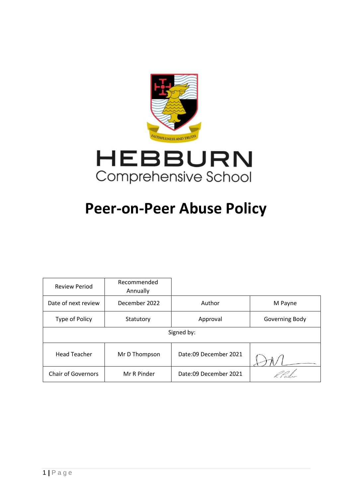



# **Peer-on-Peer Abuse Policy**

| <b>Review Period</b>      | Recommended<br>Annually |                       |                |
|---------------------------|-------------------------|-----------------------|----------------|
| Date of next review       | December 2022           | Author                | M Payne        |
| Type of Policy            | Statutory               | Approval              | Governing Body |
| Signed by:                |                         |                       |                |
| <b>Head Teacher</b>       | Mr D Thompson           | Date:09 December 2021 |                |
| <b>Chair of Governors</b> | Mr R Pinder             | Date:09 December 2021 |                |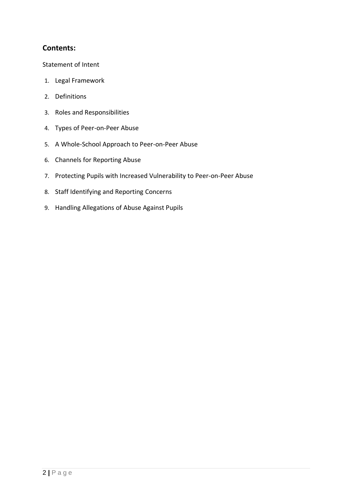# **Contents:**

[Statement of Intent](#page-2-0)

- 1. [Legal Framework](#page-3-0)
- 2. [Definitions](#page-3-1)
- 3. [Roles and Responsibilities](#page-4-0)
- 4. [Types of Peer-on-Peer Abuse](#page-6-0)
- 5. [A Whole-School Approach to Peer-on-Peer Abuse](#page-8-0)
- 6. [Channels for Reporting Abuse](#page-9-0)
- 7. [Protecting Pupils with Increased Vulnerability to Peer-on-Peer Abuse](#page-9-1)
- 8. [Staff Identifying and Reporting Concerns](#page-11-0)
- 9. [Handling Allegations of Abuse Against Pupils](#page-12-0)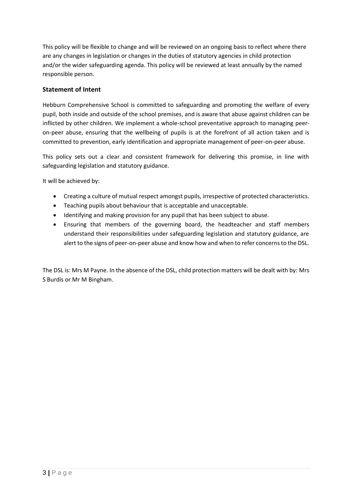<span id="page-2-0"></span>This policy will be flexible to change and will be reviewed on an ongoing basis to reflect where there are any changes in legislation or changes in the duties of statutory agencies in child protection and/or the wider safeguarding agenda. This policy will be reviewed at least annually by the named responsible person.

## **Statement of Intent**

Hebburn Comprehensive School is committed to safeguarding and promoting the welfare of every pupil, both inside and outside of the school premises, and is aware that abuse against children can be inflicted by other children. We implement a whole-school preventative approach to managing peeron-peer abuse, ensuring that the wellbeing of pupils is at the forefront of all action taken and is committed to prevention, early identification and appropriate management of peer-on-peer abuse.

This policy sets out a clear and consistent framework for delivering this promise, in line with safeguarding legislation and statutory guidance.

It will be achieved by:

- Creating a culture of mutual respect amongst pupils, irrespective of protected characteristics.
- Teaching pupils about behaviour that is acceptable and unacceptable.
- Identifying and making provision for any pupil that has been subject to abuse.
- Ensuring that members of the governing board, the headteacher and staff members understand their responsibilities under safeguarding legislation and statutory guidance, are alert to the signs of peer-on-peer abuse and know how and when to refer concerns to the DSL.

The DSL is: Mrs M Payne. In the absence of the DSL, child protection matters will be dealt with by: Mrs S Burdis or Mr M Bingham.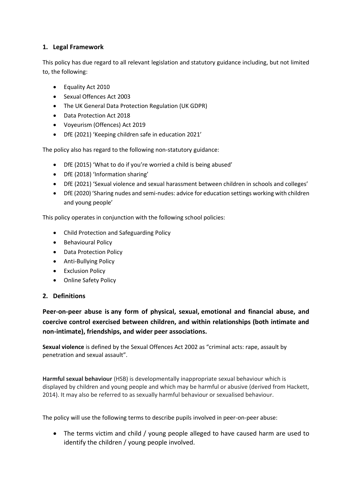# <span id="page-3-0"></span>**1. Legal Framework**

This policy has due regard to all relevant legislation and statutory guidance including, but not limited to, the following:

- Equality Act 2010
- Sexual Offences Act 2003
- The UK General Data Protection Regulation (UK GDPR)
- Data Protection Act 2018
- Voyeurism (Offences) Act 2019
- DfE (2021) 'Keeping children safe in education 2021'

The policy also has regard to the following non-statutory guidance:

- DfE (2015) 'What to do if you're worried a child is being abused'
- DfE (2018) 'Information sharing'
- DfE (2021) 'Sexual violence and sexual harassment between children in schools and colleges'
- DfE (2020) 'Sharing nudes and semi-nudes: advice for education settings working with children and young people'

This policy operates in conjunction with the following school policies:

- Child Protection and Safeguarding Policy
- Behavioural Policy
- Data Protection Policy
- Anti-Bullying Policy
- Exclusion Policy
- Online Safety Policy

## <span id="page-3-1"></span>**2. Definitions**

**Peer-on-peer abuse is any form of physical, sexual, emotional and financial abuse, and coercive control exercised between children, and within relationships (both intimate and non-intimate), friendships, and wider peer associations.**

**Sexual violence** is defined by the Sexual Offences Act 2002 as "criminal acts: rape, assault by penetration and sexual assault".

**Harmful sexual behaviour** (HSB) is developmentally inappropriate sexual behaviour which is displayed by children and young people and which may be harmful or abusive (derived from Hackett, 2014). It may also be referred to as sexually harmful behaviour or sexualised behaviour.

The policy will use the following terms to describe pupils involved in peer-on-peer abuse:

• The terms victim and child / young people alleged to have caused harm are used to identify the children / young people involved.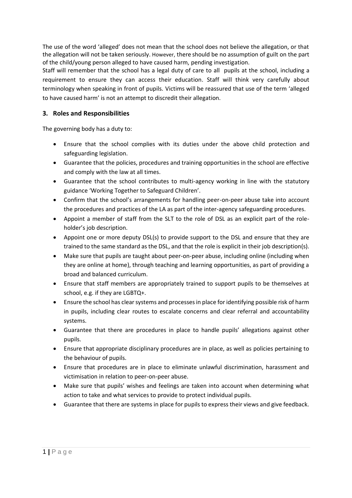The use of the word 'alleged' does not mean that the school does not believe the allegation, or that the allegation will not be taken seriously. However, there should be no assumption of guilt on the part of the child/young person alleged to have caused harm, pending investigation.

Staff will remember that the school has a legal duty of care to all pupils at the school, including a requirement to ensure they can access their education. Staff will think very carefully about terminology when speaking in front of pupils. Victims will be reassured that use of the term 'alleged to have caused harm' is not an attempt to discredit their allegation.

## <span id="page-4-0"></span>**3. Roles and Responsibilities**

The governing body has a duty to:

- Ensure that the school complies with its duties under the above child protection and safeguarding legislation.
- Guarantee that the policies, procedures and training opportunities in the school are effective and comply with the law at all times.
- Guarantee that the school contributes to multi-agency working in line with the statutory guidance 'Working Together to Safeguard Children'.
- Confirm that the school's arrangements for handling peer-on-peer abuse take into account the procedures and practices of the LA as part of the inter-agency safeguarding procedures.
- Appoint a member of staff from the SLT to the role of DSL as an explicit part of the roleholder's job description.
- Appoint one or more deputy DSL(s) to provide support to the DSL and ensure that they are trained to the same standard as the DSL, and that the role is explicit in their job description(s).
- Make sure that pupils are taught about peer-on-peer abuse, including online (including when they are online at home), through teaching and learning opportunities, as part of providing a broad and balanced curriculum.
- Ensure that staff members are appropriately trained to support pupils to be themselves at school, e.g. if they are LGBTQ+.
- Ensure the school has clear systems and processes in place for identifying possible risk of harm in pupils, including clear routes to escalate concerns and clear referral and accountability systems.
- Guarantee that there are procedures in place to handle pupils' allegations against other pupils.
- Ensure that appropriate disciplinary procedures are in place, as well as policies pertaining to the behaviour of pupils.
- Ensure that procedures are in place to eliminate unlawful discrimination, harassment and victimisation in relation to peer-on-peer abuse.
- Make sure that pupils' wishes and feelings are taken into account when determining what action to take and what services to provide to protect individual pupils.
- Guarantee that there are systems in place for pupils to express their views and give feedback.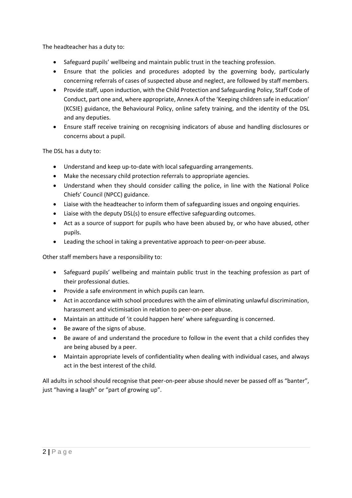The headteacher has a duty to:

- Safeguard pupils' wellbeing and maintain public trust in the teaching profession.
- Ensure that the policies and procedures adopted by the governing body, particularly concerning referrals of cases of suspected abuse and neglect, are followed by staff members.
- Provide staff, upon induction, with the Child Protection and Safeguarding Policy, Staff Code of Conduct, part one and, where appropriate, Annex A of the 'Keeping children safe in education' (KCSIE) guidance, the Behavioural Policy, online safety training, and the identity of the DSL and any deputies.
- Ensure staff receive training on recognising indicators of abuse and handling disclosures or concerns about a pupil.

The DSL has a duty to:

- Understand and keep up-to-date with local safeguarding arrangements.
- Make the necessary child protection referrals to appropriate agencies.
- Understand when they should consider calling the police, in line with the National Police Chiefs' Council (NPCC) [guidance.](https://www.npcc.police.uk/documents/Children%20and%20Young%20people/When%20to%20call%20the%20police%20guidance%20for%20schools%20and%20colleges.pdf)
- Liaise with the headteacher to inform them of safeguarding issues and ongoing enquiries.
- Liaise with the deputy DSL(s) to ensure effective safeguarding outcomes.
- Act as a source of support for pupils who have been abused by, or who have abused, other pupils.
- Leading the school in taking a preventative approach to peer-on-peer abuse.

Other staff members have a responsibility to:

- Safeguard pupils' wellbeing and maintain public trust in the teaching profession as part of their professional duties.
- Provide a safe environment in which pupils can learn.
- Act in accordance with school procedures with the aim of eliminating unlawful discrimination, harassment and victimisation in relation to peer-on-peer abuse.
- Maintain an attitude of 'it could happen here' where safeguarding is concerned.
- Be aware of the signs of abuse.
- Be aware of and understand the procedure to follow in the event that a child confides they are being abused by a peer.
- Maintain appropriate levels of confidentiality when dealing with individual cases, and always act in the best interest of the child.

All adults in school should recognise that peer-on-peer abuse should never be passed off as "banter", just "having a laugh" or "part of growing up".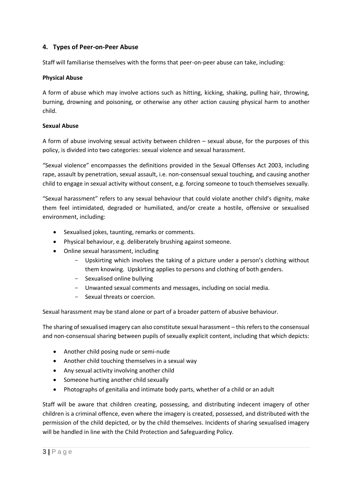## <span id="page-6-0"></span>**4. Types of Peer-on-Peer Abuse**

Staff will familiarise themselves with the forms that peer-on-peer abuse can take, including:

#### **Physical Abuse**

A form of abuse which may involve actions such as hitting, kicking, shaking, pulling hair, throwing, burning, drowning and poisoning, or otherwise any other action causing physical harm to another child.

#### **Sexual Abuse**

A form of abuse involving sexual activity between children – sexual abuse, for the purposes of this policy, is divided into two categories: sexual violence and sexual harassment.

"Sexual violence" encompasses the definitions provided in the Sexual Offenses Act 2003, including rape, assault by penetration, sexual assault, i.e. non-consensual sexual touching, and causing another child to engage in sexual activity without consent, e.g. forcing someone to touch themselves sexually.

"Sexual harassment" refers to any sexual behaviour that could violate another child's dignity, make them feel intimidated, degraded or humiliated, and/or create a hostile, offensive or sexualised environment, including:

- Sexualised jokes, taunting, remarks or comments.
- Physical behaviour, e.g. deliberately brushing against someone.
- Online sexual harassment, including
	- Upskirting which involves the taking of a picture under a person's clothing without them knowing. Upskirting applies to persons and clothing of both genders.
	- Sexualised online bullying
	- Unwanted sexual comments and messages, including on social media.
	- Sexual threats or coercion.

Sexual harassment may be stand alone or part of a broader pattern of abusive behaviour.

The sharing of sexualised imagery can also constitute sexual harassment – thisrefers to the consensual and non-consensual sharing between pupils of sexually explicit content, including that which depicts:

- Another child posing nude or semi-nude
- Another child touching themselves in a sexual way
- Any sexual activity involving another child
- Someone hurting another child sexually
- Photographs of genitalia and intimate body parts, whether of a child or an adult

Staff will be aware that children creating, possessing, and distributing indecent imagery of other children is a criminal offence, even where the imagery is created, possessed, and distributed with the permission of the child depicted, or by the child themselves. Incidents of sharing sexualised imagery will be handled in line with the Child Protection and Safeguarding Policy.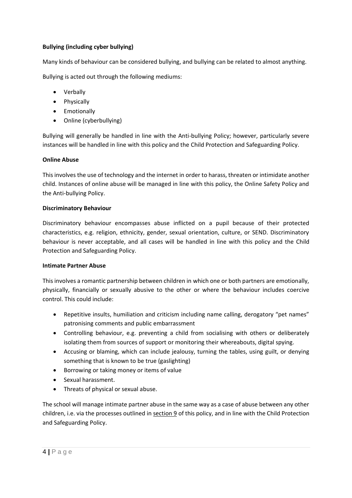## **Bullying (including cyber bullying)**

Many kinds of behaviour can be considered bullying, and bullying can be related to almost anything.

Bullying is acted out through the following mediums:

- Verbally
- Physically
- Emotionally
- Online (cyberbullying)

Bullying will generally be handled in line with the Anti-bullying Policy; however, particularly severe instances will be handled in line with this policy and the Child Protection and Safeguarding Policy.

#### **Online Abuse**

This involves the use of technology and the internet in order to harass, threaten or intimidate another child. Instances of online abuse will be managed in line with this policy, the Online Safety Policy and the Anti-bullying Policy.

#### **Discriminatory Behaviour**

Discriminatory behaviour encompasses abuse inflicted on a pupil because of their protected characteristics, e.g. religion, ethnicity, gender, sexual orientation, culture, or SEND. Discriminatory behaviour is never acceptable, and all cases will be handled in line with this policy and the Child Protection and Safeguarding Policy.

#### **Intimate Partner Abuse**

This involves a romantic partnership between children in which one or both partners are emotionally, physically, financially or sexually abusive to the other or where the behaviour includes coercive control. This could include:

- Repetitive insults, humiliation and criticism including name calling, derogatory "pet names" patronising comments and public embarrassment
- Controlling behaviour, e.g. preventing a child from socialising with others or deliberately isolating them from sources of support or monitoring their whereabouts, digital spying.
- Accusing or blaming, which can include jealousy, turning the tables, using guilt, or denying something that is known to be true (gaslighting)
- Borrowing or taking money or items of value
- Sexual harassment.
- Threats of physical or sexual abuse.

The school will manage intimate partner abuse in the same way as a case of abuse between any other children, i.e. via the processes outlined in [section 9](#page-12-0) of this policy, and in line with the Child Protection and Safeguarding Policy.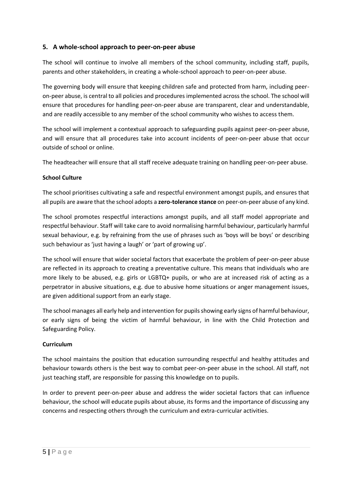## <span id="page-8-0"></span>**5. A whole-school approach to peer-on-peer abuse**

The school will continue to involve all members of the school community, including staff, pupils, parents and other stakeholders, in creating a whole-school approach to peer-on-peer abuse.

The governing body will ensure that keeping children safe and protected from harm, including peeron-peer abuse, is central to all policies and procedures implemented across the school. The school will ensure that procedures for handling peer-on-peer abuse are transparent, clear and understandable, and are readily accessible to any member of the school community who wishes to access them.

The school will implement a contextual approach to safeguarding pupils against peer-on-peer abuse, and will ensure that all procedures take into account incidents of peer-on-peer abuse that occur outside of school or online.

The headteacher will ensure that all staff receive adequate training on handling peer-on-peer abuse.

## **School Culture**

The school prioritises cultivating a safe and respectful environment amongst pupils, and ensures that all pupils are aware that the school adopts a **zero-tolerance stance** on peer-on-peer abuse of any kind.

The school promotes respectful interactions amongst pupils, and all staff model appropriate and respectful behaviour. Staff will take care to avoid normalising harmful behaviour, particularly harmful sexual behaviour, e.g. by refraining from the use of phrases such as 'boys will be boys' or describing such behaviour as 'just having a laugh' or 'part of growing up'.

The school will ensure that wider societal factors that exacerbate the problem of peer-on-peer abuse are reflected in its approach to creating a preventative culture. This means that individuals who are more likely to be abused, e.g. girls or LGBTQ+ pupils, or who are at increased risk of acting as a perpetrator in abusive situations, e.g. due to abusive home situations or anger management issues, are given additional support from an early stage.

The school manages all early help and intervention for pupils showing early signs of harmful behaviour, or early signs of being the victim of harmful behaviour, in line with the Child Protection and Safeguarding Policy.

## **Curriculum**

The school maintains the position that education surrounding respectful and healthy attitudes and behaviour towards others is the best way to combat peer-on-peer abuse in the school. All staff, not just teaching staff, are responsible for passing this knowledge on to pupils.

In order to prevent peer-on-peer abuse and address the wider societal factors that can influence behaviour, the school will educate pupils about abuse, its forms and the importance of discussing any concerns and respecting others through the curriculum and extra-curricular activities.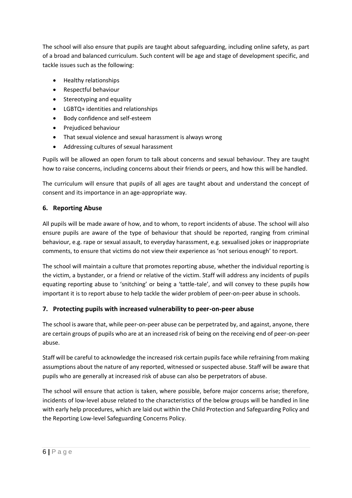The school will also ensure that pupils are taught about safeguarding, including online safety, as part of a broad and balanced curriculum. Such content will be age and stage of development specific, and tackle issues such as the following:

- Healthy relationships
- Respectful behaviour
- Stereotyping and equality
- LGBTQ+ identities and relationships
- Body confidence and self-esteem
- Prejudiced behaviour
- That sexual violence and sexual harassment is always wrong
- Addressing cultures of sexual harassment

Pupils will be allowed an open forum to talk about concerns and sexual behaviour. They are taught how to raise concerns, including concerns about their friends or peers, and how this will be handled.

The curriculum will ensure that pupils of all ages are taught about and understand the concept of consent and its importance in an age-appropriate way.

## <span id="page-9-0"></span>**6. Reporting Abuse**

All pupils will be made aware of how, and to whom, to report incidents of abuse. The school will also ensure pupils are aware of the type of behaviour that should be reported, ranging from criminal behaviour, e.g. rape or sexual assault, to everyday harassment, e.g. sexualised jokes or inappropriate comments, to ensure that victims do not view their experience as 'not serious enough' to report.

The school will maintain a culture that promotes reporting abuse, whether the individual reporting is the victim, a bystander, or a friend or relative of the victim. Staff will address any incidents of pupils equating reporting abuse to 'snitching' or being a 'tattle-tale', and will convey to these pupils how important it is to report abuse to help tackle the wider problem of peer-on-peer abuse in schools.

## <span id="page-9-1"></span>**7. Protecting pupils with increased vulnerability to peer-on-peer abuse**

The school is aware that, while peer-on-peer abuse can be perpetrated by, and against, anyone, there are certain groups of pupils who are at an increased risk of being on the receiving end of peer-on-peer abuse.

Staff will be careful to acknowledge the increased risk certain pupils face while refraining from making assumptions about the nature of any reported, witnessed or suspected abuse. Staff will be aware that pupils who are generally at increased risk of abuse can also be perpetrators of abuse.

The school will ensure that action is taken, where possible, before major concerns arise; therefore, incidents of low-level abuse related to the characteristics of the below groups will be handled in line with early help procedures, which are laid out within the Child Protection and Safeguarding Policy and the Reporting Low-level Safeguarding Concerns Policy.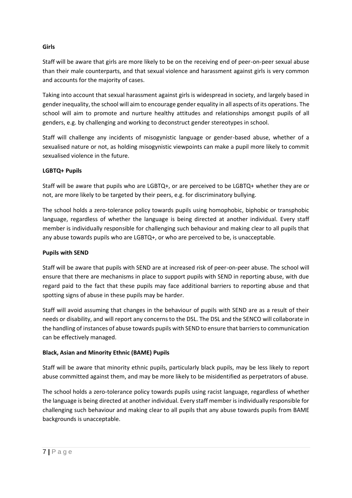### **Girls**

Staff will be aware that girls are more likely to be on the receiving end of peer-on-peer sexual abuse than their male counterparts, and that sexual violence and harassment against girls is very common and accounts for the majority of cases.

Taking into account that sexual harassment against girls is widespread in society, and largely based in gender inequality, the school will aim to encourage gender equality in all aspects of its operations. The school will aim to promote and nurture healthy attitudes and relationships amongst pupils of all genders, e.g. by challenging and working to deconstruct gender stereotypes in school.

Staff will challenge any incidents of misogynistic language or gender-based abuse, whether of a sexualised nature or not, as holding misogynistic viewpoints can make a pupil more likely to commit sexualised violence in the future.

#### **LGBTQ+ Pupils**

Staff will be aware that pupils who are LGBTQ+, or are perceived to be LGBTQ+ whether they are or not, are more likely to be targeted by their peers, e.g. for discriminatory bullying.

The school holds a zero-tolerance policy towards pupils using homophobic, biphobic or transphobic language, regardless of whether the language is being directed at another individual. Every staff member is individually responsible for challenging such behaviour and making clear to all pupils that any abuse towards pupils who are LGBTQ+, or who are perceived to be, is unacceptable.

#### **Pupils with SEND**

Staff will be aware that pupils with SEND are at increased risk of peer-on-peer abuse. The school will ensure that there are mechanisms in place to support pupils with SEND in reporting abuse, with due regard paid to the fact that these pupils may face additional barriers to reporting abuse and that spotting signs of abuse in these pupils may be harder.

Staff will avoid assuming that changes in the behaviour of pupils with SEND are as a result of their needs or disability, and will report any concerns to the DSL. The DSL and the SENCO will collaborate in the handling of instances of abuse towards pupils with SEND to ensure that barriers to communication can be effectively managed.

## **Black, Asian and Minority Ethnic (BAME) Pupils**

Staff will be aware that minority ethnic pupils, particularly black pupils, may be less likely to report abuse committed against them, and may be more likely to be misidentified as perpetrators of abuse.

The school holds a zero-tolerance policy towards pupils using racist language, regardless of whether the language is being directed at another individual. Every staff member is individually responsible for challenging such behaviour and making clear to all pupils that any abuse towards pupils from BAME backgrounds is unacceptable.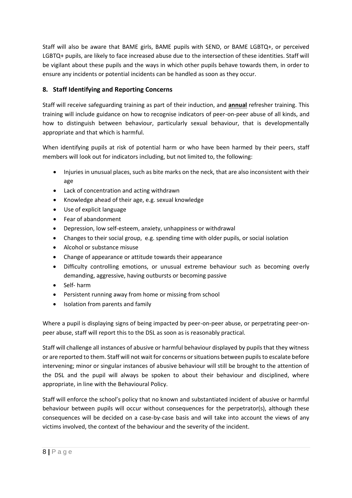Staff will also be aware that BAME girls, BAME pupils with SEND, or BAME LGBTQ+, or perceived LGBTQ+ pupils, are likely to face increased abuse due to the intersection of these identities. Staff will be vigilant about these pupils and the ways in which other pupils behave towards them, in order to ensure any incidents or potential incidents can be handled as soon as they occur.

# <span id="page-11-0"></span>**8. Staff Identifying and Reporting Concerns**

Staff will receive safeguarding training as part of their induction, and **annual** refresher training. This training will include guidance on how to recognise indicators of peer-on-peer abuse of all kinds, and how to distinguish between behaviour, particularly sexual behaviour, that is developmentally appropriate and that which is harmful.

When identifying pupils at risk of potential harm or who have been harmed by their peers, staff members will look out for indicators including, but not limited to, the following:

- Injuries in unusual places, such as bite marks on the neck, that are also inconsistent with their age
- Lack of concentration and acting withdrawn
- Knowledge ahead of their age, e.g. sexual knowledge
- Use of explicit language
- Fear of abandonment
- Depression, low self-esteem, anxiety, unhappiness or withdrawal
- Changes to their social group, e.g. spending time with older pupils, or social isolation
- Alcohol or substance misuse
- Change of appearance or attitude towards their appearance
- Difficulty controlling emotions, or unusual extreme behaviour such as becoming overly demanding, aggressive, having outbursts or becoming passive
- Self- harm
- Persistent running away from home or missing from school
- Isolation from parents and family

Where a pupil is displaying signs of being impacted by peer-on-peer abuse, or perpetrating peer-onpeer abuse, staff will report this to the DSL as soon as is reasonably practical.

Staff will challenge all instances of abusive or harmful behaviour displayed by pupils that they witness or are reported to them. Staff will not wait for concerns or situations between pupils to escalate before intervening; minor or singular instances of abusive behaviour will still be brought to the attention of the DSL and the pupil will always be spoken to about their behaviour and disciplined, where appropriate, in line with the Behavioural Policy.

Staff will enforce the school's policy that no known and substantiated incident of abusive or harmful behaviour between pupils will occur without consequences for the perpetrator(s), although these consequences will be decided on a case-by-case basis and will take into account the views of any victims involved, the context of the behaviour and the severity of the incident.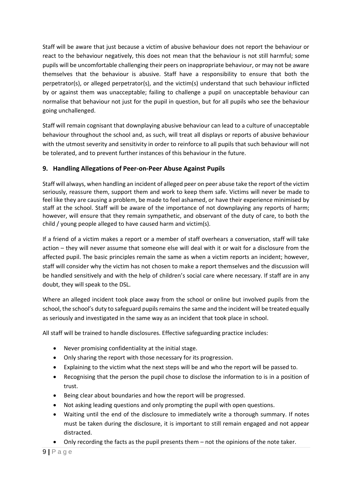Staff will be aware that just because a victim of abusive behaviour does not report the behaviour or react to the behaviour negatively, this does not mean that the behaviour is not still harmful; some pupils will be uncomfortable challenging their peers on inappropriate behaviour, or may not be aware themselves that the behaviour is abusive. Staff have a responsibility to ensure that both the perpetrator(s), or alleged perpetrator(s), and the victim(s) understand that such behaviour inflicted by or against them was unacceptable; failing to challenge a pupil on unacceptable behaviour can normalise that behaviour not just for the pupil in question, but for all pupils who see the behaviour going unchallenged.

Staff will remain cognisant that downplaying abusive behaviour can lead to a culture of unacceptable behaviour throughout the school and, as such, will treat all displays or reports of abusive behaviour with the utmost severity and sensitivity in order to reinforce to all pupils that such behaviour will not be tolerated, and to prevent further instances of this behaviour in the future.

## <span id="page-12-0"></span>**9. Handling Allegations of Peer-on-Peer Abuse Against Pupils**

Staff will always, when handling an incident of alleged peer on peer abuse take the report of the victim seriously, reassure them, support them and work to keep them safe. Victims will never be made to feel like they are causing a problem, be made to feel ashamed, or have their experience minimised by staff at the school. Staff will be aware of the importance of not downplaying any reports of harm; however, will ensure that they remain sympathetic, and observant of the duty of care, to both the child / young people alleged to have caused harm and victim(s).

If a friend of a victim makes a report or a member of staff overhears a conversation, staff will take action – they will never assume that someone else will deal with it or wait for a disclosure from the affected pupil. The basic principles remain the same as when a victim reports an incident; however, staff will consider why the victim has not chosen to make a report themselves and the discussion will be handled sensitively and with the help of children's social care where necessary. If staff are in any doubt, they will speak to the DSL.

Where an alleged incident took place away from the school or online but involved pupils from the school, the school's duty to safeguard pupils remains the same and the incident will be treated equally as seriously and investigated in the same way as an incident that took place in school.

All staff will be trained to handle disclosures. Effective safeguarding practice includes:

- Never promising confidentiality at the initial stage.
- Only sharing the report with those necessary for its progression.
- Explaining to the victim what the next steps will be and who the report will be passed to.
- Recognising that the person the pupil chose to disclose the information to is in a position of trust.
- Being clear about boundaries and how the report will be progressed.
- Not asking leading questions and only prompting the pupil with open questions.
- Waiting until the end of the disclosure to immediately write a thorough summary. If notes must be taken during the disclosure, it is important to still remain engaged and not appear distracted.
- Only recording the facts as the pupil presents them not the opinions of the note taker.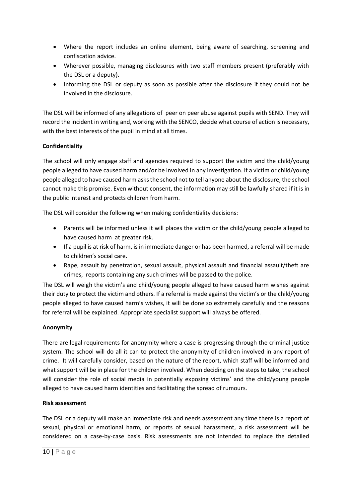- Where the report includes an online element, being aware of searching, screening and confiscation advice.
- Wherever possible, managing disclosures with two staff members present (preferably with the DSL or a deputy).
- Informing the DSL or deputy as soon as possible after the disclosure if they could not be involved in the disclosure.

The DSL will be informed of any allegations of peer on peer abuse against pupils with SEND. They will record the incident in writing and, working with the SENCO, decide what course of action is necessary, with the best interests of the pupil in mind at all times.

## **Confidentiality**

The school will only engage staff and agencies required to support the victim and the child/young people alleged to have caused harm and/or be involved in any investigation. If a victim or child/young people alleged to have caused harm asks the school not to tell anyone about the disclosure, the school cannot make this promise. Even without consent, the information may still be lawfully shared if it is in the public interest and protects children from harm.

The DSL will consider the following when making confidentiality decisions:

- Parents will be informed unless it will places the victim or the child/young people alleged to have caused harm at greater risk.
- If a pupil is at risk of harm, is in immediate danger or has been harmed, a referral will be made to children's social care.
- Rape, assault by penetration, sexual assault, physical assault and financial assault/theft are crimes, reports containing any such crimes will be passed to the police.

The DSL will weigh the victim's and child/young people alleged to have caused harm wishes against their duty to protect the victim and others. If a referral is made against the victim's or the child/young people alleged to have caused harm's wishes, it will be done so extremely carefully and the reasons for referral will be explained. Appropriate specialist support will always be offered.

## **Anonymity**

There are legal requirements for anonymity where a case is progressing through the criminal justice system. The school will do all it can to protect the anonymity of children involved in any report of crime. It will carefully consider, based on the nature of the report, which staff will be informed and what support will be in place for the children involved. When deciding on the steps to take, the school will consider the role of social media in potentially exposing victims' and the child/young people alleged to have caused harm identities and facilitating the spread of rumours.

## **Risk assessment**

The DSL or a deputy will make an immediate risk and needs assessment any time there is a report of sexual, physical or emotional harm, or reports of sexual harassment, a risk assessment will be considered on a case-by-case basis. Risk assessments are not intended to replace the detailed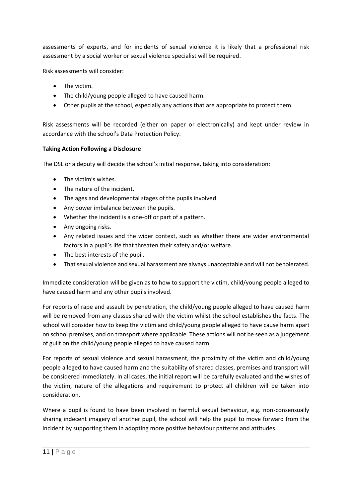assessments of experts, and for incidents of sexual violence it is likely that a professional risk assessment by a social worker or sexual violence specialist will be required.

Risk assessments will consider:

- The victim.
- The child/young people alleged to have caused harm.
- Other pupils at the school, especially any actions that are appropriate to protect them.

Risk assessments will be recorded (either on paper or electronically) and kept under review in accordance with the school's Data Protection Policy.

#### **Taking Action Following a Disclosure**

The DSL or a deputy will decide the school's initial response, taking into consideration:

- The victim's wishes.
- The nature of the incident.
- The ages and developmental stages of the pupils involved.
- Any power imbalance between the pupils.
- Whether the incident is a one-off or part of a pattern.
- Any ongoing risks.
- Any related issues and the wider context, such as whether there are wider environmental factors in a pupil's life that threaten their safety and/or welfare.
- The best interests of the pupil.
- That sexual violence and sexual harassment are always unacceptable and will not be tolerated.

Immediate consideration will be given as to how to support the victim, child/young people alleged to have caused harm and any other pupils involved.

For reports of rape and assault by penetration, the child/young people alleged to have caused harm will be removed from any classes shared with the victim whilst the school establishes the facts. The school will consider how to keep the victim and child/young people alleged to have cause harm apart on school premises, and on transport where applicable. These actions will not be seen as a judgement of guilt on the child/young people alleged to have caused harm

For reports of sexual violence and sexual harassment, the proximity of the victim and child/young people alleged to have caused harm and the suitability of shared classes, premises and transport will be considered immediately. In all cases, the initial report will be carefully evaluated and the wishes of the victim, nature of the allegations and requirement to protect all children will be taken into consideration.

Where a pupil is found to have been involved in harmful sexual behaviour, e.g. non-consensually sharing indecent imagery of another pupil, the school will help the pupil to move forward from the incident by supporting them in adopting more positive behaviour patterns and attitudes.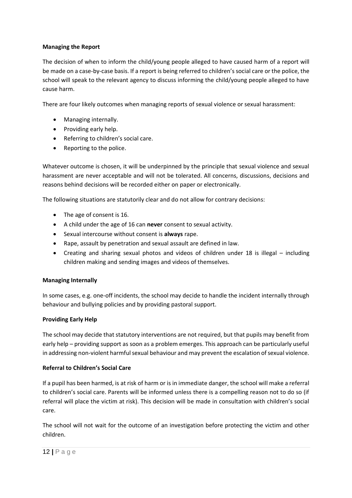### **Managing the Report**

The decision of when to inform the child/young people alleged to have caused harm of a report will be made on a case-by-case basis. If a report is being referred to children's social care or the police, the school will speak to the relevant agency to discuss informing the child/young people alleged to have cause harm.

There are four likely outcomes when managing reports of sexual violence or sexual harassment:

- Managing internally.
- Providing early help.
- Referring to children's social care.
- Reporting to the police.

Whatever outcome is chosen, it will be underpinned by the principle that sexual violence and sexual harassment are never acceptable and will not be tolerated. All concerns, discussions, decisions and reasons behind decisions will be recorded either on paper or electronically.

The following situations are statutorily clear and do not allow for contrary decisions:

- The age of consent is 16.
- A child under the age of 16 can **never** consent to sexual activity.
- Sexual intercourse without consent is **always** rape.
- Rape, assault by penetration and sexual assault are defined in law.
- Creating and sharing sexual photos and videos of children under 18 is illegal including children making and sending images and videos of themselves.

## **Managing Internally**

In some cases, e.g. one-off incidents, the school may decide to handle the incident internally through behaviour and bullying policies and by providing pastoral support.

## **Providing Early Help**

The school may decide that statutory interventions are not required, but that pupils may benefit from early help – providing support as soon as a problem emerges. This approach can be particularly useful in addressing non-violent harmful sexual behaviour and may prevent the escalation of sexual violence.

## **Referral to Children's Social Care**

If a pupil has been harmed, is at risk of harm or is in immediate danger, the school will make a referral to children's social care. Parents will be informed unless there is a compelling reason not to do so (if referral will place the victim at risk). This decision will be made in consultation with children's social care.

The school will not wait for the outcome of an investigation before protecting the victim and other children.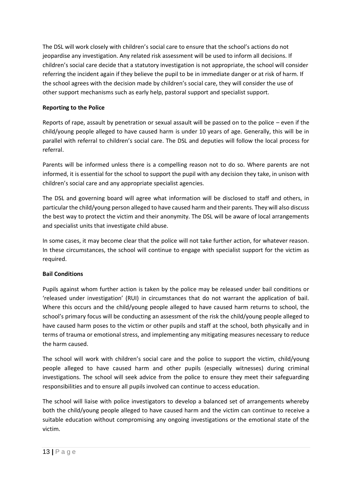The DSL will work closely with children's social care to ensure that the school's actions do not jeopardise any investigation. Any related risk assessment will be used to inform all decisions. If children's social care decide that a statutory investigation is not appropriate, the school will consider referring the incident again if they believe the pupil to be in immediate danger or at risk of harm. If the school agrees with the decision made by children's social care, they will consider the use of other support mechanisms such as early help, pastoral support and specialist support.

## **Reporting to the Police**

Reports of rape, assault by penetration or sexual assault will be passed on to the police – even if the child/young people alleged to have caused harm is under 10 years of age. Generally, this will be in parallel with referral to children's social care. The DSL and deputies will follow the local process for referral.

Parents will be informed unless there is a compelling reason not to do so. Where parents are not informed, it is essential for the school to support the pupil with any decision they take, in unison with children's social care and any appropriate specialist agencies.

The DSL and governing board will agree what information will be disclosed to staff and others, in particular the child/young person alleged to have caused harm and their parents. They will also discuss the best way to protect the victim and their anonymity. The DSL will be aware of local arrangements and specialist units that investigate child abuse.

In some cases, it may become clear that the police will not take further action, for whatever reason. In these circumstances, the school will continue to engage with specialist support for the victim as required.

## **Bail Conditions**

Pupils against whom further action is taken by the police may be released under bail conditions or 'released under investigation' (RUI) in circumstances that do not warrant the application of bail. Where this occurs and the child/young people alleged to have caused harm returns to school, the school's primary focus will be conducting an assessment of the risk the child/young people alleged to have caused harm poses to the victim or other pupils and staff at the school, both physically and in terms of trauma or emotional stress, and implementing any mitigating measures necessary to reduce the harm caused.

The school will work with children's social care and the police to support the victim, child/young people alleged to have caused harm and other pupils (especially witnesses) during criminal investigations. The school will seek advice from the police to ensure they meet their safeguarding responsibilities and to ensure all pupils involved can continue to access education.

The school will liaise with police investigators to develop a balanced set of arrangements whereby both the child/young people alleged to have caused harm and the victim can continue to receive a suitable education without compromising any ongoing investigations or the emotional state of the victim.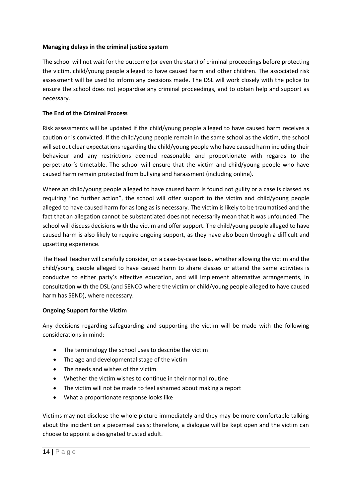#### **Managing delays in the criminal justice system**

The school will not wait for the outcome (or even the start) of criminal proceedings before protecting the victim, child/young people alleged to have caused harm and other children. The associated risk assessment will be used to inform any decisions made. The DSL will work closely with the police to ensure the school does not jeopardise any criminal proceedings, and to obtain help and support as necessary.

## **The End of the Criminal Process**

Risk assessments will be updated if the child/young people alleged to have caused harm receives a caution or is convicted. If the child/young people remain in the same school as the victim, the school will set out clear expectations regarding the child/young people who have caused harm including their behaviour and any restrictions deemed reasonable and proportionate with regards to the perpetrator's timetable. The school will ensure that the victim and child/young people who have caused harm remain protected from bullying and harassment (including online).

Where an child/young people alleged to have caused harm is found not guilty or a case is classed as requiring "no further action", the school will offer support to the victim and child/young people alleged to have caused harm for as long as is necessary. The victim is likely to be traumatised and the fact that an allegation cannot be substantiated does not necessarily mean that it was unfounded. The school will discuss decisions with the victim and offer support. The child/young people alleged to have caused harm is also likely to require ongoing support, as they have also been through a difficult and upsetting experience.

The Head Teacher will carefully consider, on a case-by-case basis, whether allowing the victim and the child/young people alleged to have caused harm to share classes or attend the same activities is conducive to either party's effective education, and will implement alternative arrangements, in consultation with the DSL (and SENCO where the victim or child/young people alleged to have caused harm has SEND), where necessary.

## **Ongoing Support for the Victim**

Any decisions regarding safeguarding and supporting the victim will be made with the following considerations in mind:

- The terminology the school uses to describe the victim
- The age and developmental stage of the victim
- The needs and wishes of the victim
- Whether the victim wishes to continue in their normal routine
- The victim will not be made to feel ashamed about making a report
- What a proportionate response looks like

Victims may not disclose the whole picture immediately and they may be more comfortable talking about the incident on a piecemeal basis; therefore, a dialogue will be kept open and the victim can choose to appoint a designated trusted adult.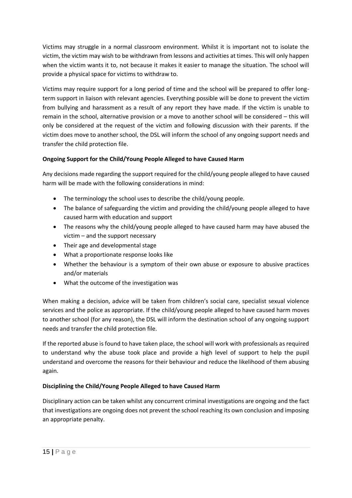Victims may struggle in a normal classroom environment. Whilst it is important not to isolate the victim, the victim may wish to be withdrawn from lessons and activities at times. This will only happen when the victim wants it to, not because it makes it easier to manage the situation. The school will provide a physical space for victims to withdraw to.

Victims may require support for a long period of time and the school will be prepared to offer longterm support in liaison with relevant agencies. Everything possible will be done to prevent the victim from bullying and harassment as a result of any report they have made. If the victim is unable to remain in the school, alternative provision or a move to another school will be considered – this will only be considered at the request of the victim and following discussion with their parents. If the victim does move to another school, the DSL will inform the school of any ongoing support needs and transfer the child protection file.

## **Ongoing Support for the Child/Young People Alleged to have Caused Harm**

Any decisions made regarding the support required for the child/young people alleged to have caused harm will be made with the following considerations in mind:

- The terminology the school uses to describe the child/young people.
- The balance of safeguarding the victim and providing the child/young people alleged to have caused harm with education and support
- The reasons why the child/young people alleged to have caused harm may have abused the victim – and the support necessary
- Their age and developmental stage
- What a proportionate response looks like
- Whether the behaviour is a symptom of their own abuse or exposure to abusive practices and/or materials
- What the outcome of the investigation was

When making a decision, advice will be taken from children's social care, specialist sexual violence services and the police as appropriate. If the child/young people alleged to have caused harm moves to another school (for any reason), the DSL will inform the destination school of any ongoing support needs and transfer the child protection file.

If the reported abuse is found to have taken place, the school will work with professionals as required to understand why the abuse took place and provide a high level of support to help the pupil understand and overcome the reasons for their behaviour and reduce the likelihood of them abusing again.

## **Disciplining the Child/Young People Alleged to have Caused Harm**

Disciplinary action can be taken whilst any concurrent criminal investigations are ongoing and the fact that investigations are ongoing does not prevent the school reaching its own conclusion and imposing an appropriate penalty.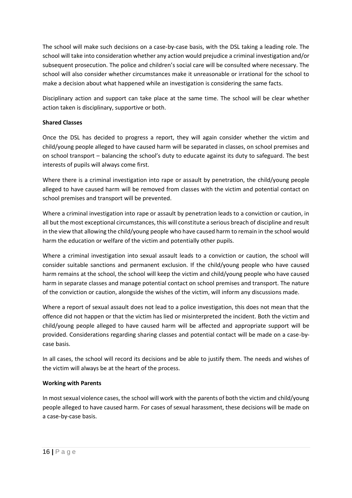The school will make such decisions on a case-by-case basis, with the DSL taking a leading role. The school will take into consideration whether any action would prejudice a criminal investigation and/or subsequent prosecution. The police and children's social care will be consulted where necessary. The school will also consider whether circumstances make it unreasonable or irrational for the school to make a decision about what happened while an investigation is considering the same facts.

Disciplinary action and support can take place at the same time. The school will be clear whether action taken is disciplinary, supportive or both.

## **Shared Classes**

Once the DSL has decided to progress a report, they will again consider whether the victim and child/young people alleged to have caused harm will be separated in classes, on school premises and on school transport – balancing the school's duty to educate against its duty to safeguard. The best interests of pupils will always come first.

Where there is a criminal investigation into rape or assault by penetration, the child/young people alleged to have caused harm will be removed from classes with the victim and potential contact on school premises and transport will be prevented.

Where a criminal investigation into rape or assault by penetration leads to a conviction or caution, in all but the most exceptional circumstances, this will constitute a serious breach of discipline and result in the view that allowing the child/young people who have caused harm to remain in the school would harm the education or welfare of the victim and potentially other pupils.

Where a criminal investigation into sexual assault leads to a conviction or caution, the school will consider suitable sanctions and permanent exclusion. If the child/young people who have caused harm remains at the school, the school will keep the victim and child/young people who have caused harm in separate classes and manage potential contact on school premises and transport. The nature of the conviction or caution, alongside the wishes of the victim, will inform any discussions made.

Where a report of sexual assault does not lead to a police investigation, this does not mean that the offence did not happen or that the victim has lied or misinterpreted the incident. Both the victim and child/young people alleged to have caused harm will be affected and appropriate support will be provided. Considerations regarding sharing classes and potential contact will be made on a case-bycase basis.

In all cases, the school will record its decisions and be able to justify them. The needs and wishes of the victim will always be at the heart of the process.

## **Working with Parents**

In most sexual violence cases, the school will work with the parents of both the victim and child/young people alleged to have caused harm. For cases of sexual harassment, these decisions will be made on a case-by-case basis.